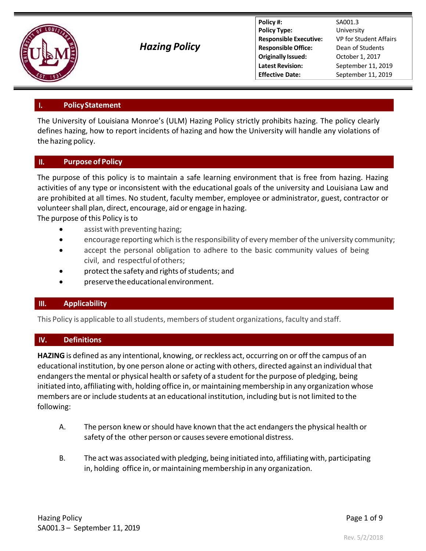

*Hazing Policy*

**Policy #:** SA001.3 **Policy Type:** University **Responsible Executive:** VP for Student Affairs **Responsible Office:** Dean of Students **Originally Issued:** October 1, 2017 **Latest Revision:** September 11, 2019 **Effective Date:** September 11, 2019

### **PolicyStatement** ι.

The University of Louisiana Monroe's (ULM) Hazing Policy strictly prohibits hazing. The policy clearly defines hazing, how to report incidents of hazing and how the University will handle any violations of the hazing policy.

### Π. **Purpose of Policy**

The purpose of this policy is to maintain a safe learning environment that is free from hazing. Hazing activities of any type or inconsistent with the educational goals of the university and Louisiana Law and are prohibited at all times. No student, faculty member, employee or administrator, guest, contractor or volunteershall plan, direct, encourage, aid or engage in hazing.

The purpose of this Policy isto

- assist with preventing hazing;
- encourage reporting which isthe responsibility of everymember ofthe university community;
- accept the personal obligation to adhere to the basic community values of being civil, and respectful ofothers;
- protect the safety and rights of students; and
- preservetheeducationalenvironment.

### Ш. **Applicability**

This Policy is applicable to all students, members of student organizations, faculty and staff.

### IV. **Definitions**

**HAZING** is defined as any intentional, knowing, or reckless act, occurring on or offthe campus of an educational institution, by one person alone or acting with others, directed against an individual that endangers the mental or physical health or safety of a student for the purpose of pledging, being initiated into, affiliating with, holding office in, or maintaining membership in any organization whose members are or include students at an educational institution, including but is not limited to the following:

- A. The person knew orshould have known that the act endangersthe physical health or safety of the other person or causes severe emotional distress.
- B. The act was associated with pledging, being initiated into, affiliating with, participating in, holding office in, or maintaining membership in any organization.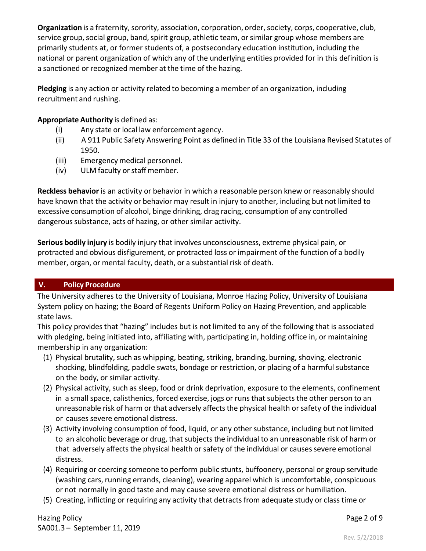**Organization** is a fraternity, sorority, association, corporation, order, society, corps, cooperative, club, service group, social group, band, spirit group, athletic team, or similar group whose members are primarily students at, or former students of, a postsecondary education institution, including the national or parent organization of which any of the underlying entities provided for in this definition is a sanctioned or recognized member at the time of the hazing.

**Pledging** is any action or activity related to becoming a member of an organization, including recruitment and rushing.

# **Appropriate Authority** is defined as:

- (i) Any state or local law enforcement agency.
- (ii) A 911 Public Safety Answering Point as defined in Title 33 of the Louisiana Revised Statutes of 1950.
- (iii) Emergency medical personnel.
- (iv) ULM faculty or staff member.

**Reckless behavior** is an activity or behavior in which a reasonable person knew or reasonably should have known that the activity or behavior may result in injury to another, including but not limited to excessive consumption of alcohol, binge drinking, drag racing, consumption of any controlled dangerous substance, acts of hazing, or other similar activity.

**Serious bodily injury** is bodily injury that involves unconsciousness, extreme physical pain, or protracted and obvious disfigurement, or protracted loss or impairment of the function of a bodily member, organ, or mental faculty, death, or a substantial risk of death.

# **V. Policy Procedure**

The University adheres to the University of Louisiana, Monroe Hazing Policy, University of Louisiana System policy on hazing; the Board of Regents Uniform Policy on Hazing Prevention, and applicable state laws.

This policy provides that "hazing" includes but is not limited to any of the following that is associated with pledging, being initiated into, affiliating with, participating in, holding office in, or maintaining membership in any organization:

- (1) Physical brutality, such as whipping, beating, striking, branding, burning, shoving, electronic shocking, blindfolding, paddle swats, bondage or restriction, or placing of a harmful substance on the body, or similar activity.
- (2) Physical activity, such as sleep, food or drink deprivation, exposure to the elements, confinement in a small space, calisthenics, forced exercise, jogs or runsthat subjects the other person to an unreasonable risk of harm or that adversely affects the physical health or safety of the individual or causes severe emotional distress.
- (3) Activity involving consumption of food, liquid, or any other substance, including but not limited to an alcoholic beverage or drug, that subjects the individual to an unreasonable risk of harm or that adversely affects the physical health or safety of the individual or causes severe emotional distress.
- (4) Requiring or coercing someone to perform public stunts, buffoonery, personal or group servitude (washing cars, running errands, cleaning), wearing apparel which is uncomfortable, conspicuous or not normally in good taste and may cause severe emotional distress or humiliation.
- (5) Creating, inflicting or requiring any activity that detracts from adequate study or class time or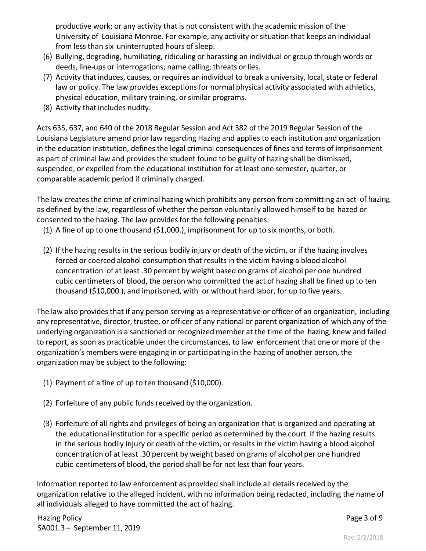productive work; or any activity that is not consistent with the academic mission of the University of Louisiana Monroe. For example, any activity or situation that keeps an individual from less than six uninterrupted hours of sleep.

- (6) Bullying, degrading, humiliating, ridiculing or harassing an individual or group through words or deeds, line‐ups or interrogations; name calling; threats or lies.
- (7) Activity that induces, causes, or requires an individual to break a university, local, state or federal law or policy. The law provides exceptions for normal physical activity associated with athletics, physical education, military training, or similar programs.
- (8) Activity that includes nudity.

Acts 635, 637, and 640 of the 2018 Regular Session and Act 382 of the 2019 Regular Session of the Louisiana Legislature amend prior law regarding Hazing and applies to each institution and organization in the education institution, defines the legal criminal consequences of fines and terms of imprisonment as part of criminal law and provides the student found to be guilty of hazing shall be dismissed, suspended, or expelled from the educational institution for at least one semester, quarter, or comparable academic period if criminally charged.

The law creates the crime of criminal hazing which prohibits any person from committing an act of hazing as defined by the law, regardless of whether the person voluntarily allowed himself to be hazed or consented to the hazing. The law provides for the following penalties:

- (1) A fine of up to one thousand (\$1,000.), imprisonment for up to six months, or both.
- (2) If the hazing resultsin the serious bodily injury or death of the victim, or if the hazing involves forced or coerced alcohol consumption that results in the victim having a blood alcohol concentration of at least .30 percent by weight based on grams of alcohol per one hundred cubic centimeters of blood, the person who committed the act of hazing shall be fined up to ten thousand (\$10,000.), and imprisoned, with or without hard labor, for up to five years.

The law also provides that if any person serving as a representative or officer of an organization, including any representative, director, trustee, or officer of any national or parent organization of which any of the underlying organization is a sanctioned or recognized member at the time of the hazing, knew and failed to report, as soon as practicable under the circumstances, to law enforcement that one or more of the organization's members were engaging in or participating in the hazing of another person, the organization may be subject to the following:

- (1) Payment of a fine of up to ten thousand (\$10,000).
- (2) Forfeiture of any public funds received by the organization.
- (3) Forfeiture of all rights and privileges of being an organization that is organized and operating at the educational institution for a specific period as determined by the court. If the hazing results in the serious bodily injury or death of the victim, or results in the victim having a blood alcohol concentration of at least .30 percent by weight based on grams of alcohol per one hundred cubic centimeters of blood, the period shall be for not less than four years.

Information reported to law enforcement as provided shall include all details received by the organization relative to the alleged incident, with no information being redacted, including the name of all individuals alleged to have committed the act of hazing.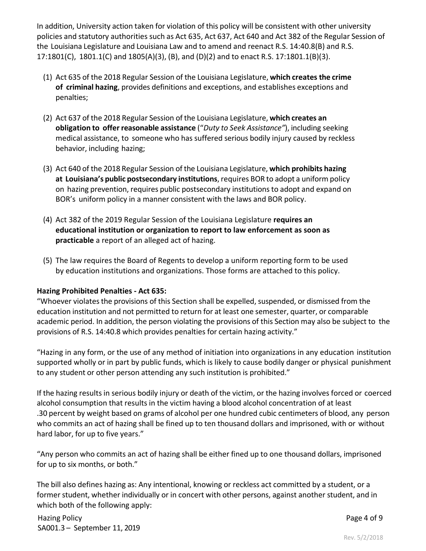In addition, University action taken for violation of this policy will be consistent with other university policies and statutory authorities such as Act 635, Act 637, Act 640 and Act 382 of the Regular Session of the Louisiana Legislature and Louisiana Law and to amend and reenact R.S. 14:40.8(B) and R.S. 17:1801(C), 1801.1(C) and 1805(A)(3), (B), and (D)(2) and to enact R.S. 17:1801.1(B)(3).

- (1) Act 635 of the 2018 Regular Session of the Louisiana Legislature, **which creates the crime of criminal hazing**, provides definitions and exceptions, and establishes exceptions and penalties;
- (2) Act 637 of the 2018 Regular Session of the Louisiana Legislature, **which creates an obligation to offer reasonable assistance** ("*Duty to Seek Assistance"*), including seeking medical assistance, to someone who has suffered serious bodily injury caused by reckless behavior, including hazing;
- (3) Act 640 of the 2018 Regular Session of the Louisiana Legislature, **which prohibits hazing at Louisiana's public postsecondary institutions**, requires BOR to adopt a uniform policy on hazing prevention, requires public postsecondary institutionsto adopt and expand on BOR's uniform policy in a manner consistent with the laws and BOR policy.
- (4) Act 382 of the 2019 Regular Session of the Louisiana Legislature **requires an educational institution or organization to report to law enforcement as soon as practicable** a report of an alleged act of hazing.
- (5) The law requires the Board of Regents to develop a uniform reporting form to be used by education institutions and organizations. Those forms are attached to this policy.

# **Hazing Prohibited Penalties ‐ Act 635:**

"Whoever violates the provisions of this Section shall be expelled, suspended, or dismissed from the education institution and not permitted to return for at least one semester, quarter, or comparable academic period. In addition, the person violating the provisions of this Section may also be subject to the provisions of R.S. 14:40.8 which provides penalties for certain hazing activity."

"Hazing in any form, or the use of any method of initiation into organizations in any education institution supported wholly or in part by public funds, which is likely to cause bodily danger or physical punishment to any student or other person attending any such institution is prohibited."

If the hazing resultsin serious bodily injury or death of the victim, or the hazing involves forced or coerced alcohol consumption that results in the victim having a blood alcohol concentration of at least .30 percent by weight based on grams of alcohol per one hundred cubic centimeters of blood, any person who commits an act of hazing shall be fined up to ten thousand dollars and imprisoned, with or without hard labor, for up to five years."

"Any person who commits an act of hazing shall be either fined up to one thousand dollars, imprisoned for up to six months, or both."

The bill also defines hazing as: Any intentional, knowing or reckless act committed by a student, or a former student, whether individually or in concert with other persons, against another student, and in which both of the following apply:

Hazing Policy SA001.3 – September 11, 2019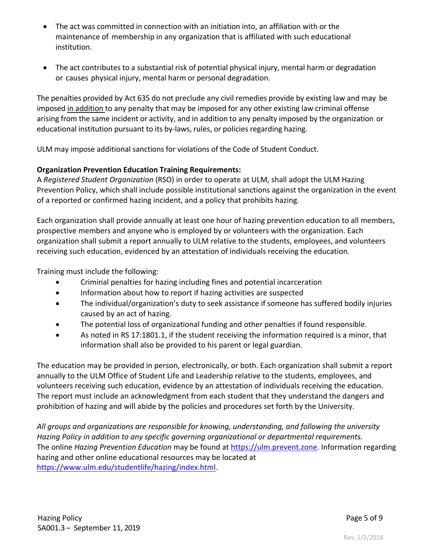- The act was committed in connection with an initiation into, an affiliation with or the maintenance of membership in any organization that is affiliated with such educational institution.
- The act contributes to a substantial risk of potential physical injury, mental harm or degradation or causes physical injury, mental harm or personal degradation.

The penalties provided by Act 635 do not preclude any civil remedies provide by existing law and may be imposed in addition to any penalty that may be imposed for any other existing law criminal offense arising from the same incident or activity, and in addition to any penalty imposed by the organization or educational institution pursuant to its by-laws, rules, or policies regarding hazing.

ULM may impose additional sanctions for violations of the Code of Student Conduct.

# **Organization Prevention Education Training Requirements:**

A *Registered Student Organization* (RSO) in order to operate at ULM, shall adopt the ULM Hazing Prevention Policy, which shall include possible institutional sanctions against the organization in the event of a reported or confirmed hazing incident, and a policy that prohibits hazing.

Each organization shall provide annually at least one hour of hazing prevention education to all members, prospective members and anyone who is employed by or volunteers with the organization. Each organization shall submit a report annually to ULM relative to the students, employees, and volunteers receiving such education, evidenced by an attestation of individuals receiving the education.

Training must include the following:

- Criminal penalties for hazing including fines and potential incarceration
- Information about how to report if hazing activities are suspected
- The individual/organization's duty to seek assistance if someone has suffered bodily injuries caused by an act of hazing.
- The potential loss of organizational funding and other penalties if found responsible.
- As noted in RS 17:1801.1, if the student receiving the information required is a minor, that information shall also be provided to his parent or legal guardian.

The education may be provided in person, electronically, or both. Each organization shall submit a report annually to the ULM Office of Student Life and Leadership relative to the students, employees, and volunteers receiving such education, evidence by an attestation of individuals receiving the education. The report must include an acknowledgment from each student that they understand the dangers and prohibition of hazing and will abide by the policies and procedures set forth by the University.

*All groups and organizations are responsible for knowing, understanding, and following the university Hazing Policy in addition to any specific governing organizational or departmental requirements.*  The online *Hazing Prevention Education* may be found at https://ulm.prevent.zone. Information regarding hazing and other online educational resources may be located at https://www.ulm.edu/studentlife/hazing/index.html.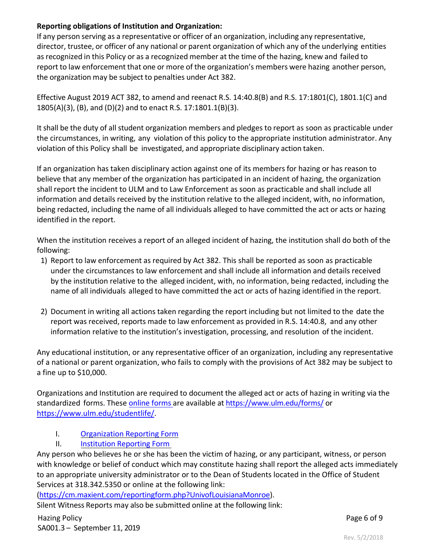# **Reporting obligations of Institution and Organization:**

If any person serving as a representative or officer of an organization, including any representative, director, trustee, or officer of any national or parent organization of which any of the underlying entities as recognized in this Policy or as a recognized member at the time of the hazing, knew and failed to report to law enforcement that one or more of the organization's members were hazing another person, the organization may be subject to penalties under Act 382.

Effective August 2019 ACT 382, to amend and reenact R.S. 14:40.8(B) and R.S. 17:1801(C), 1801.1(C) and 1805(A)(3), (B), and (D)(2) and to enact R.S. 17:1801.1(B)(3).

Itshall be the duty of all student organization members and pledges to report as soon as practicable under the circumstances, in writing, any violation of this policy to the appropriate institution administrator. Any violation of this Policy shall be investigated, and appropriate disciplinary action taken.

If an organization has taken disciplinary action against one of its members for hazing or has reason to believe that any member of the organization has participated in an incident of hazing, the organization shall report the incident to ULM and to Law Enforcement as soon as practicable and shall include all information and details received by the institution relative to the alleged incident, with, no information, being redacted, including the name of all individuals alleged to have committed the act or acts or hazing identified in the report.

When the institution receives a report of an alleged incident of hazing, the institution shall do both of the following:

- 1) Report to law enforcement as required by Act 382. This shall be reported as soon as practicable under the circumstances to law enforcement and shall include all information and details received by the institution relative to the alleged incident, with, no information, being redacted, including the name of all individuals alleged to have committed the act or acts of hazing identified in the report.
- 2) Document in writing all actions taken regarding the report including but not limited to the date the report was received, reports made to law enforcement as provided in R.S. 14:40.8, and any other information relative to the institution's investigation, processing, and resolution of the incident.

Any educational institution, or any representative officer of an organization, including any representative of a national or parent organization, who fails to comply with the provisions of Act 382 may be subject to a fine up to \$10,000.

Organizations and Institution are required to document the alleged act or acts of hazing in writing via the standardized forms. These online forms are available at https://www.ulm.edu/forms/ or https://www.ulm.edu/studentlife/.

- I. Organization Reporting Form
- II. **Institution Reporting Form**

Any person who believes he or she has been the victim of hazing, or any participant, witness, or person with knowledge or belief of conduct which may constitute hazing shall report the alleged acts immediately to an appropriate university administrator or to the Dean of Students located in the Office of Student Services at 318.342.5350 or online at the following link:

(https://cm.maxient.com/reportingform.php?UnivofLouisianaMonroe).

Silent Witness Reports may also be submitted online at the following link: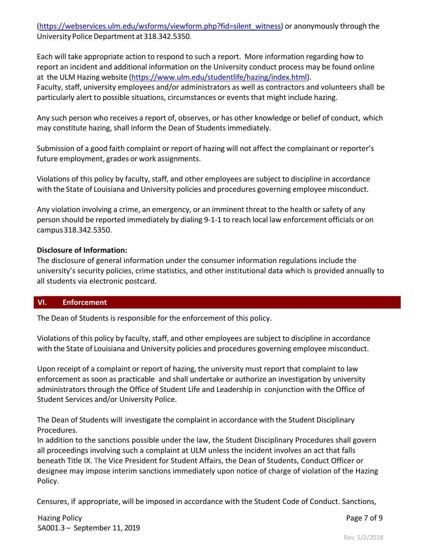(https://webservices.ulm.edu/wsforms/viewform.php?fid=silent\_witness) or anonymously through the University Police Department at 318.342.5350.

Each will take appropriate action to respond to such a report. More information regarding how to report an incident and additional information on the University conduct process may be found online at the ULM Hazing website (https://www.ulm.edu/studentlife/hazing/index.html). Faculty, staff, university employees and/or administrators as well as contractors and volunteers shall be particularly alert to possible situations, circumstances or events that might include hazing.

Any such person who receives a report of, observes, or has other knowledge or belief of conduct, which may constitute hazing, shall inform the Dean of Students immediately.

Submission of a good faith complaint or report of hazing will not affect the complainant or reporter's future employment, grades or work assignments.

Violations of this policy by faculty, staff, and other employees are subject to discipline in accordance with the State of Louisiana and University policies and procedures governing employee misconduct.

Any violation involving a crime, an emergency, or an imminent threat to the health or safety of any person should be reported immediately by dialing 9‐1‐1 to reach local law enforcement officials or on campus318.342.5350.

### **Disclosure of Information:**

The disclosure of general information under the consumer information regulations include the university's security policies, crime statistics, and other institutional data which is provided annually to all students via electronic postcard.

### **VI. Enforcement**

The Dean of Students is responsible for the enforcement of this policy.

Violations of this policy by faculty, staff, and other employees are subject to discipline in accordance with the State of Louisiana and University policies and procedures governing employee misconduct.

Upon receipt of a complaint or report of hazing, the university must report that complaint to law enforcement as soon as practicable and shall undertake or authorize an investigation by university administrators through the Office of Student Life and Leadership in conjunction with the Office of Student Services and/or University Police.

The Dean of Students will investigate the complaint in accordance with the Student Disciplinary Procedures.

In addition to the sanctions possible under the law, the Student Disciplinary Procedures shall govern all proceedings involving such a complaint at ULM unless the incident involves an act that falls beneath Title IX. The Vice President for Student Affairs, the Dean of Students, Conduct Officer or designee may impose interim sanctions immediately upon notice of charge of violation of the Hazing Policy.

Censures, if appropriate, will be imposed in accordance with the Student Code of Conduct. Sanctions,

Hazing Policy SA001.3 – September 11, 2019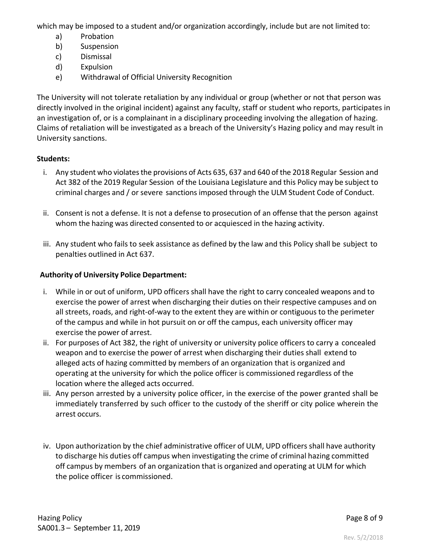which may be imposed to a student and/or organization accordingly, include but are not limited to:

- a) Probation
- b) Suspension
- c) Dismissal
- d) Expulsion
- e) Withdrawal of Official University Recognition

The University will not tolerate retaliation by any individual or group (whether or not that person was directly involved in the original incident) against any faculty, staff or student who reports, participates in an investigation of, or is a complainant in a disciplinary proceeding involving the allegation of hazing. Claims of retaliation will be investigated as a breach of the University's Hazing policy and may result in University sanctions.

# **Students:**

- i. Any student who violates the provisions of Acts 635, 637 and 640 of the 2018 Regular Session and Act 382 of the 2019 Regular Session of the Louisiana Legislature and this Policy may be subject to criminal charges and / or severe sanctions imposed through the ULM Student Code of Conduct.
- ii. Consent is not a defense. It is not a defense to prosecution of an offense that the person against whom the hazing was directed consented to or acquiesced in the hazing activity.
- iii. Any student who fails to seek assistance as defined by the law and this Policy shall be subject to penalties outlined in Act 637.

# **Authority of University Police Department:**

- i. While in or out of uniform, UPD officers shall have the right to carry concealed weapons and to exercise the power of arrest when discharging their duties on their respective campuses and on all streets, roads, and right‐of‐way to the extent they are within or contiguous to the perimeter of the campus and while in hot pursuit on or off the campus, each university officer may exercise the power of arrest.
- ii. For purposes of Act 382, the right of university or university police officers to carry a concealed weapon and to exercise the power of arrest when discharging their duties shall extend to alleged acts of hazing committed by members of an organization that is organized and operating at the university for which the police officer is commissioned regardless of the location where the alleged acts occurred.
- iii. Any person arrested by a university police officer, in the exercise of the power granted shall be immediately transferred by such officer to the custody of the sheriff or city police wherein the arrest occurs.
- iv. Upon authorization by the chief administrative officer of ULM, UPD officers shall have authority to discharge his duties off campus when investigating the crime of criminal hazing committed off campus by members of an organization that is organized and operating at ULM for which the police officer is commissioned.